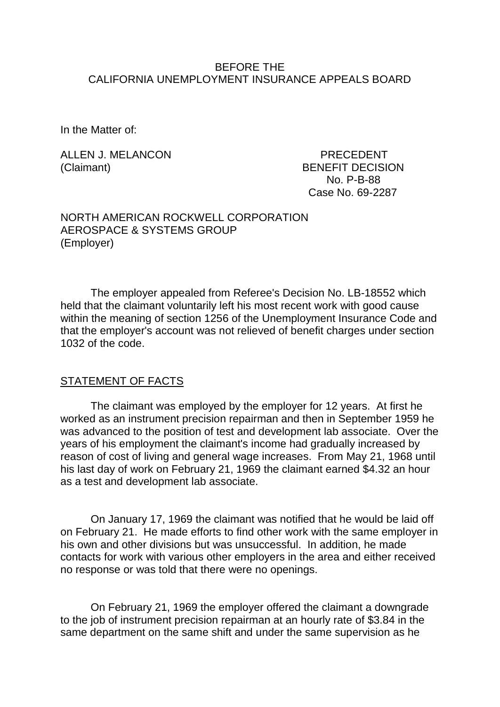#### BEFORE THE CALIFORNIA UNEMPLOYMENT INSURANCE APPEALS BOARD

In the Matter of:

ALLEN J. MELANCON PRECEDENT (Claimant) BENEFIT DECISION

 No. P-B-88 Case No. 69-2287

#### NORTH AMERICAN ROCKWELL CORPORATION AEROSPACE & SYSTEMS GROUP (Employer)

The employer appealed from Referee's Decision No. LB-18552 which held that the claimant voluntarily left his most recent work with good cause within the meaning of section 1256 of the Unemployment Insurance Code and that the employer's account was not relieved of benefit charges under section 1032 of the code.

### STATEMENT OF FACTS

The claimant was employed by the employer for 12 years. At first he worked as an instrument precision repairman and then in September 1959 he was advanced to the position of test and development lab associate. Over the years of his employment the claimant's income had gradually increased by reason of cost of living and general wage increases. From May 21, 1968 until his last day of work on February 21, 1969 the claimant earned \$4.32 an hour as a test and development lab associate.

On January 17, 1969 the claimant was notified that he would be laid off on February 21. He made efforts to find other work with the same employer in his own and other divisions but was unsuccessful. In addition, he made contacts for work with various other employers in the area and either received no response or was told that there were no openings.

On February 21, 1969 the employer offered the claimant a downgrade to the job of instrument precision repairman at an hourly rate of \$3.84 in the same department on the same shift and under the same supervision as he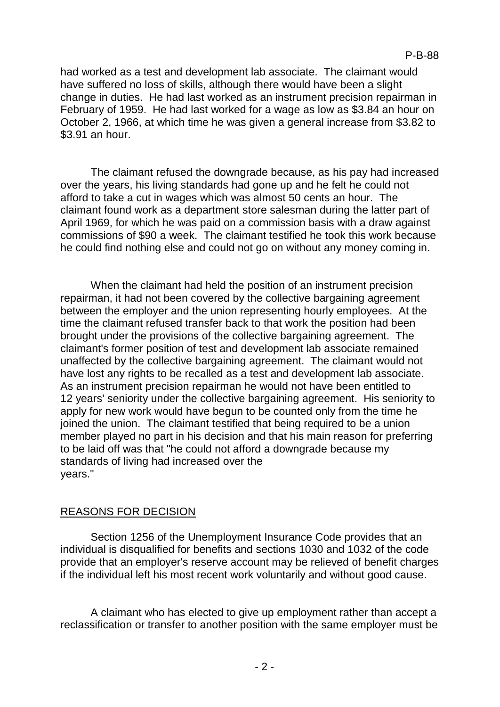had worked as a test and development lab associate. The claimant would have suffered no loss of skills, although there would have been a slight change in duties. He had last worked as an instrument precision repairman in February of 1959. He had last worked for a wage as low as \$3.84 an hour on October 2, 1966, at which time he was given a general increase from \$3.82 to \$3.91 an hour.

The claimant refused the downgrade because, as his pay had increased over the years, his living standards had gone up and he felt he could not afford to take a cut in wages which was almost 50 cents an hour. The claimant found work as a department store salesman during the latter part of April 1969, for which he was paid on a commission basis with a draw against commissions of \$90 a week. The claimant testified he took this work because he could find nothing else and could not go on without any money coming in.

When the claimant had held the position of an instrument precision repairman, it had not been covered by the collective bargaining agreement between the employer and the union representing hourly employees. At the time the claimant refused transfer back to that work the position had been brought under the provisions of the collective bargaining agreement. The claimant's former position of test and development lab associate remained unaffected by the collective bargaining agreement. The claimant would not have lost any rights to be recalled as a test and development lab associate. As an instrument precision repairman he would not have been entitled to 12 years' seniority under the collective bargaining agreement. His seniority to apply for new work would have begun to be counted only from the time he joined the union. The claimant testified that being required to be a union member played no part in his decision and that his main reason for preferring to be laid off was that "he could not afford a downgrade because my standards of living had increased over the years."

# REASONS FOR DECISION

Section 1256 of the Unemployment Insurance Code provides that an individual is disqualified for benefits and sections 1030 and 1032 of the code provide that an employer's reserve account may be relieved of benefit charges if the individual left his most recent work voluntarily and without good cause.

A claimant who has elected to give up employment rather than accept a reclassification or transfer to another position with the same employer must be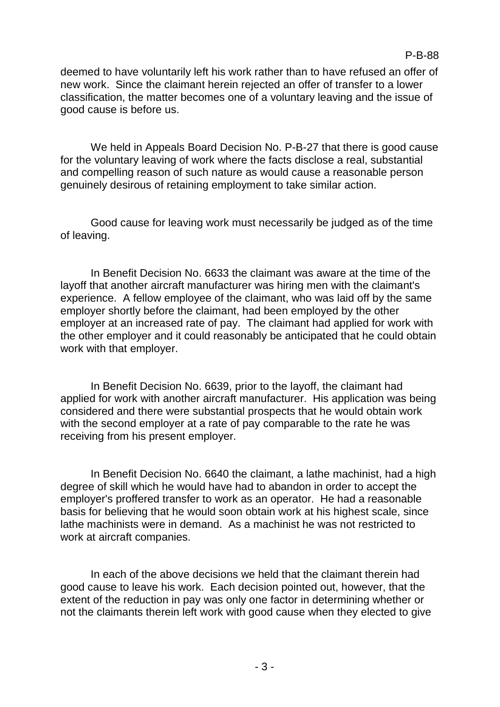deemed to have voluntarily left his work rather than to have refused an offer of new work. Since the claimant herein rejected an offer of transfer to a lower classification, the matter becomes one of a voluntary leaving and the issue of good cause is before us.

We held in Appeals Board Decision No. P-B-27 that there is good cause for the voluntary leaving of work where the facts disclose a real, substantial and compelling reason of such nature as would cause a reasonable person genuinely desirous of retaining employment to take similar action.

Good cause for leaving work must necessarily be judged as of the time of leaving.

In Benefit Decision No. 6633 the claimant was aware at the time of the layoff that another aircraft manufacturer was hiring men with the claimant's experience. A fellow employee of the claimant, who was laid off by the same employer shortly before the claimant, had been employed by the other employer at an increased rate of pay. The claimant had applied for work with the other employer and it could reasonably be anticipated that he could obtain work with that employer.

In Benefit Decision No. 6639, prior to the layoff, the claimant had applied for work with another aircraft manufacturer. His application was being considered and there were substantial prospects that he would obtain work with the second employer at a rate of pay comparable to the rate he was receiving from his present employer.

In Benefit Decision No. 6640 the claimant, a lathe machinist, had a high degree of skill which he would have had to abandon in order to accept the employer's proffered transfer to work as an operator. He had a reasonable basis for believing that he would soon obtain work at his highest scale, since lathe machinists were in demand. As a machinist he was not restricted to work at aircraft companies.

In each of the above decisions we held that the claimant therein had good cause to leave his work. Each decision pointed out, however, that the extent of the reduction in pay was only one factor in determining whether or not the claimants therein left work with good cause when they elected to give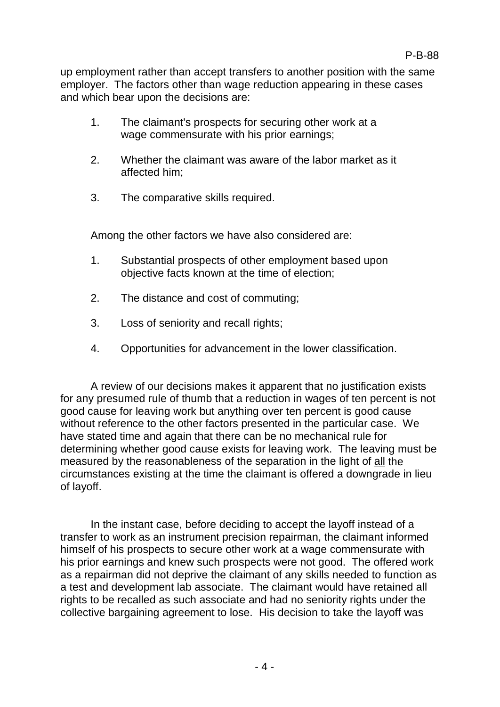up employment rather than accept transfers to another position with the same employer. The factors other than wage reduction appearing in these cases and which bear upon the decisions are:

- 1. The claimant's prospects for securing other work at a wage commensurate with his prior earnings;
- 2. Whether the claimant was aware of the labor market as it affected him;
- 3. The comparative skills required.

Among the other factors we have also considered are:

- 1. Substantial prospects of other employment based upon objective facts known at the time of election;
- 2. The distance and cost of commuting;
- 3. Loss of seniority and recall rights;
- 4. Opportunities for advancement in the lower classification.

A review of our decisions makes it apparent that no justification exists for any presumed rule of thumb that a reduction in wages of ten percent is not good cause for leaving work but anything over ten percent is good cause without reference to the other factors presented in the particular case. We have stated time and again that there can be no mechanical rule for determining whether good cause exists for leaving work. The leaving must be measured by the reasonableness of the separation in the light of all the circumstances existing at the time the claimant is offered a downgrade in lieu of layoff.

In the instant case, before deciding to accept the layoff instead of a transfer to work as an instrument precision repairman, the claimant informed himself of his prospects to secure other work at a wage commensurate with his prior earnings and knew such prospects were not good. The offered work as a repairman did not deprive the claimant of any skills needed to function as a test and development lab associate. The claimant would have retained all rights to be recalled as such associate and had no seniority rights under the collective bargaining agreement to lose. His decision to take the layoff was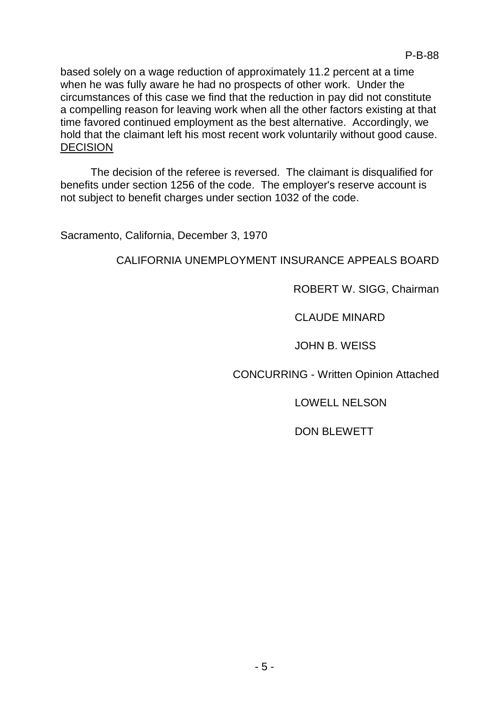based solely on a wage reduction of approximately 11.2 percent at a time when he was fully aware he had no prospects of other work. Under the circumstances of this case we find that the reduction in pay did not constitute a compelling reason for leaving work when all the other factors existing at that time favored continued employment as the best alternative. Accordingly, we hold that the claimant left his most recent work voluntarily without good cause. DECISION

The decision of the referee is reversed. The claimant is disqualified for benefits under section 1256 of the code. The employer's reserve account is not subject to benefit charges under section 1032 of the code.

Sacramento, California, December 3, 1970

# CALIFORNIA UNEMPLOYMENT INSURANCE APPEALS BOARD

## ROBERT W. SIGG, Chairman

## CLAUDE MINARD

## JOHN B. WEISS

CONCURRING - Written Opinion Attached

### LOWELL NELSON

# DON BLEWETT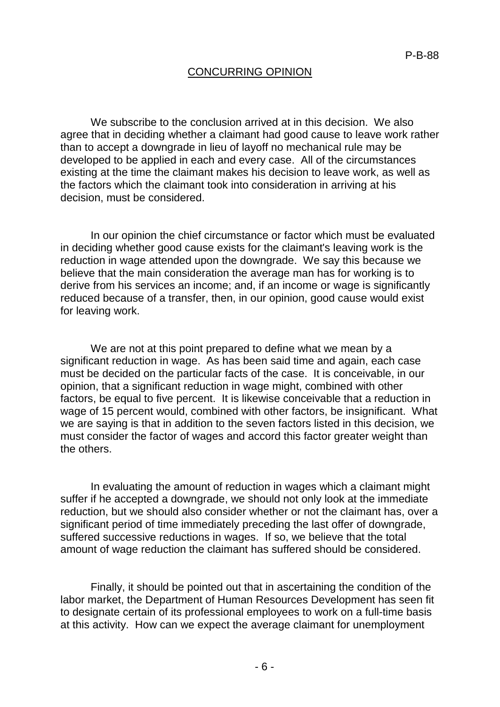#### CONCURRING OPINION

We subscribe to the conclusion arrived at in this decision. We also agree that in deciding whether a claimant had good cause to leave work rather than to accept a downgrade in lieu of layoff no mechanical rule may be developed to be applied in each and every case. All of the circumstances existing at the time the claimant makes his decision to leave work, as well as the factors which the claimant took into consideration in arriving at his decision, must be considered.

In our opinion the chief circumstance or factor which must be evaluated in deciding whether good cause exists for the claimant's leaving work is the reduction in wage attended upon the downgrade. We say this because we believe that the main consideration the average man has for working is to derive from his services an income; and, if an income or wage is significantly reduced because of a transfer, then, in our opinion, good cause would exist for leaving work.

We are not at this point prepared to define what we mean by a significant reduction in wage. As has been said time and again, each case must be decided on the particular facts of the case. It is conceivable, in our opinion, that a significant reduction in wage might, combined with other factors, be equal to five percent. It is likewise conceivable that a reduction in wage of 15 percent would, combined with other factors, be insignificant. What we are saying is that in addition to the seven factors listed in this decision, we must consider the factor of wages and accord this factor greater weight than the others.

In evaluating the amount of reduction in wages which a claimant might suffer if he accepted a downgrade, we should not only look at the immediate reduction, but we should also consider whether or not the claimant has, over a significant period of time immediately preceding the last offer of downgrade, suffered successive reductions in wages. If so, we believe that the total amount of wage reduction the claimant has suffered should be considered.

Finally, it should be pointed out that in ascertaining the condition of the labor market, the Department of Human Resources Development has seen fit to designate certain of its professional employees to work on a full-time basis at this activity. How can we expect the average claimant for unemployment